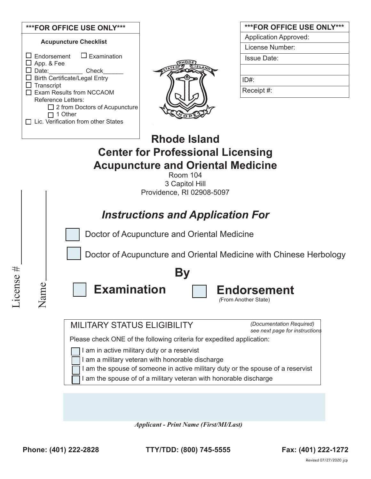

| <b>***FOR OFFICE USE ONLY***</b> |
|----------------------------------|
| <b>Application Approved:</b>     |
| License Number:                  |
| <b>Issue Date:</b>               |
|                                  |
| ID#:                             |
| Receipt #:                       |

# **Rhode Island Center for Professional Licensing Acupuncture and Oriental Medicine**

Room 104 3 Capitol Hill Providence, RI 02908-5097

### *Instructions and Application For*

Doctor of Acupuncture and Oriental Medicine

Doctor of Acupuncture and Oriental Medicine with Chinese Herbology



Name

**Examination Endorsement By**

*(*From Another State)

MILITARY STATUS ELIGIBILITY

*(Documentation Required) see next page for instructions*

Please check ONE of the following criteria for expedited application:

I am in active military duty or a reservist

I am a military veteran with honorable discharge

I am the spouse of someone in active military duty or the spouse of a reservist

I am the spouse of of a military veteran with honorable discharge

*Applicant - Print Name (First/MI/Last)*

**Phone: (401) 222-2828 TTY/TDD: (800) 745-5555 Fax: (401) 222-1272**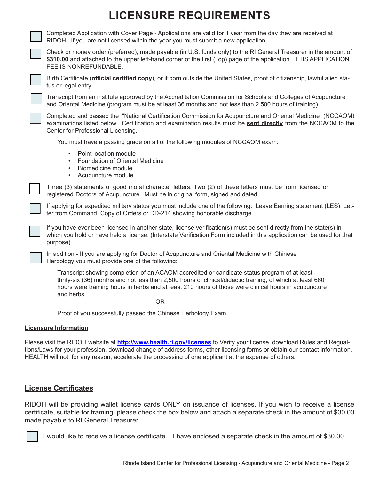# **LICENSURE REQUIREMENTS**

Completed Application with Cover Page - Applications are valid for 1 year from the day they are received at RIDOH. If you are not licensed within the year you must submit a new application. Check or money order (preferred), made payable (in U.S. funds only) to the RI General Treasurer in the amount of **\$310.00** and attached to the upper left-hand corner of the first (Top) page of the application. THIS APPLICATION FEE IS NONREFUNDABLE. Birth Certificate (**official certified copy**), or if born outside the United States, proof of citizenship, lawful alien status or legal entry. Transcript from an institute approved by the Accreditation Commission for Schools and Colleges of Acupuncture and Oriental Medicine (program must be at least 36 months and not less than 2,500 hours of training) Completed and passed the "National Certification Commission for Acupuncture and Oriental Medicine" (NCCAOM) examinations listed below. Certification and examination results must be **sent directly** from the NCCAOM to the Center for Professional Licensing. You must have a passing grade on all of the following modules of NCCAOM exam: • Point location module • Foundation of Oriental Medicine • Biomedicine module • Acupuncture module Three (3) statements of good moral character letters. Two (2) of these letters must be from licensed or registered Doctors of Acupuncture. Must be in original form, signed and dated. If applying for expedited military status you must include one of the following: Leave Earning statement (LES), Letter from Command, Copy of Orders or DD-214 showing honorable discharge. If you have ever been licensed in another state, license verification(s) must be sent directly from the state(s) in which you hold or have held a license. (Interstate Verification Form included in this application can be used for that purpose) In addition - If you are applying for Doctor of Acupuncture and Oriental Medicine with Chinese Herbology you must provide one of the following: Transcript showing completion of an ACAOM accredited or candidate status program of at least thrity-six (36) months and not less than 2,500 hours of clinical/didactic training, of which at least 660 hours were training hours in herbs and at least 210 hours of those were clinical hours in acupuncture and herbs OR Proof of you successfully passed the Chinese Herbology Exam

#### **Licensure Information**

Please visit the RIDOH website at **http://www.health.ri.gov/licenses** to Verify your license, download Rules and Regualtions/Laws for your profession, download change of address forms, other licensing forms or obtain our contact information. HEALTH will not, for any reason, accelerate the processing of one applicant at the expense of others.

### **License Certificates**

RIDOH will be providing wallet license cards ONLY on issuance of licenses. If you wish to receive a license certificate, suitable for framing, please check the box below and attach a separate check in the amount of \$30.00 made payable to RI General Treasurer.



I would like to receive a license certificate. I have enclosed a separate check in the amount of \$30.00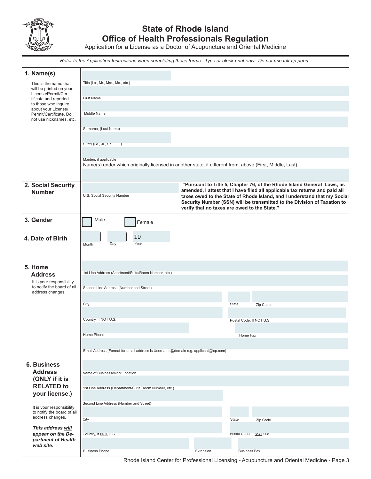

### **State of Rhode Island Office of Health Professionals Regulation**

Application for a License as a Doctor of Acupuncture and Oriental Medicine

*Refer to the Application Instructions when completing these forms. Type or block print only. Do not use felt-tip pens.*

| 1. Name(s)                                                                  |                                                                                                                                                                                                                                     |        |           |                          |                                                                                                                                                       |
|-----------------------------------------------------------------------------|-------------------------------------------------------------------------------------------------------------------------------------------------------------------------------------------------------------------------------------|--------|-----------|--------------------------|-------------------------------------------------------------------------------------------------------------------------------------------------------|
| This is the name that<br>will be printed on your                            | Title (i.e., Mr., Mrs., Ms., etc.)                                                                                                                                                                                                  |        |           |                          |                                                                                                                                                       |
| License/Permit/Cer-<br>tificate and reported                                | <b>First Name</b>                                                                                                                                                                                                                   |        |           |                          |                                                                                                                                                       |
| to those who inquire<br>about your License/                                 | Middle Name                                                                                                                                                                                                                         |        |           |                          |                                                                                                                                                       |
| Permit/Certificate. Do<br>not use nicknames, etc.                           |                                                                                                                                                                                                                                     |        |           |                          |                                                                                                                                                       |
|                                                                             | Surname, (Last Name)                                                                                                                                                                                                                |        |           |                          |                                                                                                                                                       |
|                                                                             | Suffix (i.e., Jr., Sr., II, III)                                                                                                                                                                                                    |        |           |                          |                                                                                                                                                       |
|                                                                             | Maiden, if applicable                                                                                                                                                                                                               |        |           |                          |                                                                                                                                                       |
|                                                                             | Name(s) under which originally licensed in another state, if different from above (First, Middle, Last).                                                                                                                            |        |           |                          |                                                                                                                                                       |
|                                                                             |                                                                                                                                                                                                                                     |        |           |                          |                                                                                                                                                       |
| 2. Social Security<br><b>Number</b>                                         |                                                                                                                                                                                                                                     |        |           |                          | "Pursuant to Title 5, Chapter 76, of the Rhode Island General Laws, as<br>amended, I attest that I have filed all applicable tax returns and paid all |
|                                                                             | U.S. Social Security Number<br>taxes owed to the State of Rhode Island, and I understand that my Social<br>Security Number (SSN) will be transmitted to the Division of Taxation to<br>verify that no taxes are owed to the State." |        |           |                          |                                                                                                                                                       |
| 3. Gender                                                                   | Male                                                                                                                                                                                                                                | Female |           |                          |                                                                                                                                                       |
| 4. Date of Birth                                                            | 19                                                                                                                                                                                                                                  |        |           |                          |                                                                                                                                                       |
|                                                                             | Day<br>Month                                                                                                                                                                                                                        | Year   |           |                          |                                                                                                                                                       |
|                                                                             |                                                                                                                                                                                                                                     |        |           |                          |                                                                                                                                                       |
| 5. Home<br><b>Address</b>                                                   | 1st Line Address (Apartment/Suite/Room Number, etc.)                                                                                                                                                                                |        |           |                          |                                                                                                                                                       |
| It is your responsibility<br>to notify the board of all                     |                                                                                                                                                                                                                                     |        |           |                          |                                                                                                                                                       |
| address changes.                                                            | Second Line Address (Number and Street)                                                                                                                                                                                             |        |           |                          |                                                                                                                                                       |
|                                                                             | City                                                                                                                                                                                                                                |        |           | State                    | Zip Code                                                                                                                                              |
|                                                                             |                                                                                                                                                                                                                                     |        |           |                          |                                                                                                                                                       |
|                                                                             | Country, If NOT U.S.                                                                                                                                                                                                                |        |           | Postal Code, If NOT U.S. |                                                                                                                                                       |
|                                                                             | Home Phone                                                                                                                                                                                                                          |        |           | Home Fax                 |                                                                                                                                                       |
|                                                                             | Email Address (Format for email address is Username@domain e.g. applicant@isp.com)                                                                                                                                                  |        |           |                          |                                                                                                                                                       |
|                                                                             |                                                                                                                                                                                                                                     |        |           |                          |                                                                                                                                                       |
| <b>6. Business</b><br><b>Address</b>                                        | Name of Business/Work Location                                                                                                                                                                                                      |        |           |                          |                                                                                                                                                       |
| (ONLY if it is                                                              |                                                                                                                                                                                                                                     |        |           |                          |                                                                                                                                                       |
| <b>RELATED to</b><br>your license.)                                         | 1st Line Address (Department/Suite/Room Number, etc.)                                                                                                                                                                               |        |           |                          |                                                                                                                                                       |
|                                                                             | Second Line Address (Number and Street)                                                                                                                                                                                             |        |           |                          |                                                                                                                                                       |
| It is your responsibility<br>to notify the board of all<br>address changes. |                                                                                                                                                                                                                                     |        |           |                          |                                                                                                                                                       |
| This address will                                                           | City                                                                                                                                                                                                                                |        |           | State                    | Zip Code                                                                                                                                              |
| appear on the De-                                                           | Country, If NOT U.S.                                                                                                                                                                                                                |        |           | Postal Code, If NOT U.S. |                                                                                                                                                       |
| partment of Health<br>web site.                                             |                                                                                                                                                                                                                                     |        |           |                          |                                                                                                                                                       |
|                                                                             | <b>Business Phone</b>                                                                                                                                                                                                               |        | Extension | <b>Business Fax</b>      |                                                                                                                                                       |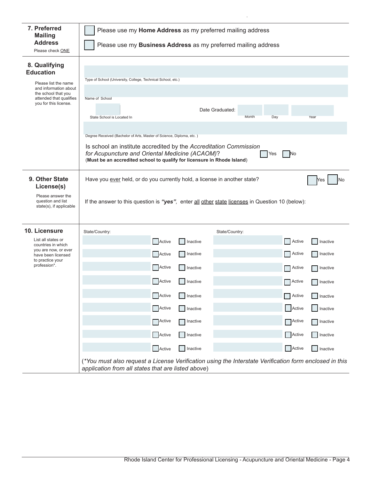| 7. Preferred<br><b>Mailing</b><br><b>Address</b><br>Please check ONE                                                                                          | Please use my Home Address as my preferred mailing address<br>Please use my Business Address as my preferred mailing address                                                                                                                                                                                                                                                                                                                                                                                                 |                                                                                                                               |  |  |  |  |
|---------------------------------------------------------------------------------------------------------------------------------------------------------------|------------------------------------------------------------------------------------------------------------------------------------------------------------------------------------------------------------------------------------------------------------------------------------------------------------------------------------------------------------------------------------------------------------------------------------------------------------------------------------------------------------------------------|-------------------------------------------------------------------------------------------------------------------------------|--|--|--|--|
| 8. Qualifying<br><b>Education</b><br>Please list the name<br>and information about<br>the school that you<br>attended that qualifies<br>you for this license. | Type of School (University, College, Technical School, etc.)<br>Name of School<br>Date Graduated:<br>Month<br>State School is Located In<br>Day<br>Degree Received (Bachelor of Arts, Master of Science, Diploma, etc.)<br>Is school an institute accredited by the Accreditation Commission<br>for Acupuncture and Oriental Medicine (ACAOM)?<br>Yes<br>No<br>(Must be an accredited school to qualify for licensure in Rhode Island)                                                                                       | Year                                                                                                                          |  |  |  |  |
| 9. Other State<br>License(s)<br>Please answer the<br>question and list<br>state(s), if applicable                                                             | Have you ever held, or do you currently hold, a license in another state?<br>If the answer to this question is "yes", enter all other state licenses in Question 10 (below):                                                                                                                                                                                                                                                                                                                                                 | No<br>Yes                                                                                                                     |  |  |  |  |
| 10. Licensure<br>List all states or<br>countries in which<br>you are now, or ever<br>have been licensed<br>to practice your<br>profession*.                   | State/Country:<br>State/Country:<br>Active<br><b>Active</b><br>Inactive<br>Inactive<br><b>Active</b><br>Active<br>Active<br>Inactive<br>Active<br>Active<br>Inactive<br><b>Active</b><br>Active<br>Active<br>Inactive<br>Active<br>Active<br>Inactive<br>Active<br>Inactive<br>Active<br>Active<br>Active<br>Inactive<br>Active<br>Active<br><b>Inactive</b><br>(*You must also request a License Verification using the Interstate Verification form enclosed in this<br>application from all states that are listed above) | Inactive<br>Inactive<br>Inactive<br>Inactive<br><b>Inactive</b><br>Inactive<br><b>Inactive</b><br><b>Inactive</b><br>Inactive |  |  |  |  |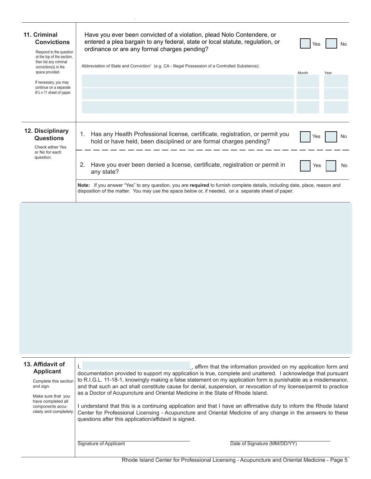| 11. Criminal<br><b>Convictions</b><br>Respond to the question<br>at the top of the section.<br>then list any criminal<br>conviction(s) in the<br>space provided. | Have you ever been convicted of a violation, plead Nolo Contendere, or<br>entered a plea bargain to any federal, state or local statute, regulation, or<br>ordinance or are any formal charges pending?<br>Abbreviation of State and Conviction <sup>1</sup> (e.g. CA - Illegal Possession of a Controlled Substance): | Yes<br>Month | No.<br>Year |
|------------------------------------------------------------------------------------------------------------------------------------------------------------------|------------------------------------------------------------------------------------------------------------------------------------------------------------------------------------------------------------------------------------------------------------------------------------------------------------------------|--------------|-------------|
| If necessary, you may<br>continue on a separate<br>$8\frac{1}{2}$ x 11 sheet of paper.                                                                           |                                                                                                                                                                                                                                                                                                                        |              |             |
| 12. Disciplinary<br><b>Questions</b><br>Check either Yes<br>or No for each<br>question.                                                                          | Has any Health Professional license, certificate, registration, or permit you<br>$1_{-}$<br>hold or have held, been disciplined or are formal charges pending?<br>Have you ever been denied a license, certificate, registration or permit in<br>2.<br>any state?                                                      | Yes<br>Yes   | No<br>No    |
|                                                                                                                                                                  | Note: If you answer "Yes" to any question, you are required to furnish complete details, including date, place, reason and<br>disposition of the matter. You may use the space below or, if needed, on a separate sheet of paper.                                                                                      |              |             |

| 13. Affidavit of<br><b>Applicant</b><br>Complete this section<br>and sign.<br>Make sure that you<br>have completed all<br>components accu-<br>rately and completely. | Ι,<br>as a Doctor of Acupuncture and Oriental Medicine in the State of Rhode Island.<br>questions after this application/affidavit is signed. | , affirm that the information provided on my application form and<br>documentation provided to support my application is true, complete and unaltered. I acknowledge that pursuant<br>to R.I.G.L. 11-18-1, knowingly making a false statement on my application form is punishable as a misdemeanor,<br>and that such an act shall constitute cause for denial, suspension, or revocation of my license/permit to practice<br>understand that this is a continuing application and that I have an affirmative duty to inform the Rhode Island<br>Center for Professional Licensing - Acupuncture and Oriental Medicine of any change in the answers to these |
|----------------------------------------------------------------------------------------------------------------------------------------------------------------------|-----------------------------------------------------------------------------------------------------------------------------------------------|--------------------------------------------------------------------------------------------------------------------------------------------------------------------------------------------------------------------------------------------------------------------------------------------------------------------------------------------------------------------------------------------------------------------------------------------------------------------------------------------------------------------------------------------------------------------------------------------------------------------------------------------------------------|
|                                                                                                                                                                      | Signature of Applicant                                                                                                                        | Date of Signature (MM/DD/YY)                                                                                                                                                                                                                                                                                                                                                                                                                                                                                                                                                                                                                                 |